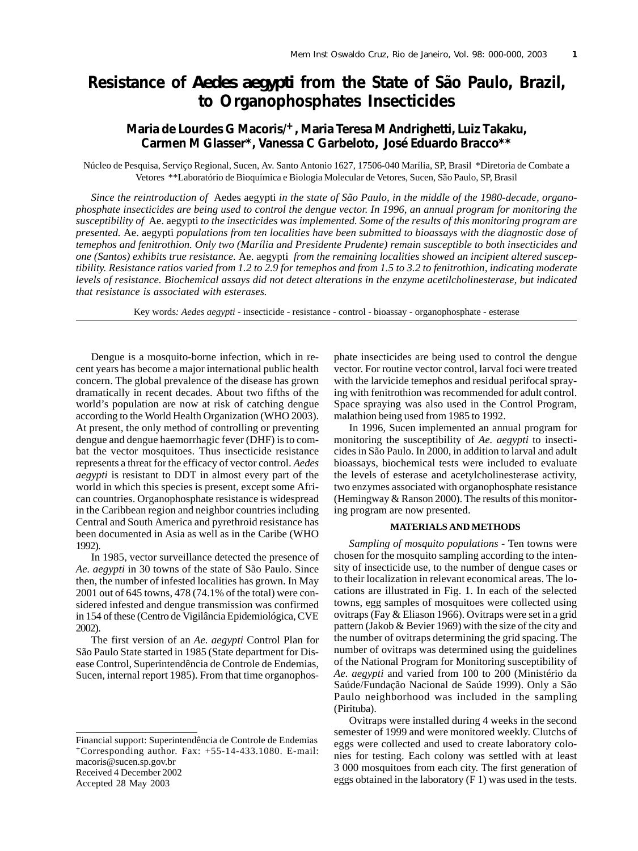# **Resistance of** *Aedes aegypti* **from the State of São Paulo, Brazil, to Organophosphates Insecticides**

## **Maria de Lourdes G Macoris/+, Maria Teresa M Andrighetti, Luiz Takaku, Carmen M Glasser\*, Vanessa C Garbeloto, José Eduardo Bracco\*\***

Núcleo de Pesquisa, Serviço Regional, Sucen, Av. Santo Antonio 1627, 17506-040 Marília, SP, Brasil \*Diretoria de Combate a Vetores \*\*Laboratório de Bioquímica e Biologia Molecular de Vetores, Sucen, São Paulo, SP, Brasil

*Since the reintroduction of* Aedes aegypti *in the state of São Paulo, in the middle of the 1980-decade, organophosphate insecticides are being used to control the dengue vector. In 1996, an annual program for monitoring the susceptibility of* Ae. aegypti *to the insecticides was implemented. Some of the results of this monitoring program are presented.* Ae. aegypti *populations from ten localities have been submitted to bioassays with the diagnostic dose of temephos and fenitrothion. Only two (Marília and Presidente Prudente) remain susceptible to both insecticides and one (Santos) exhibits true resistance.* Ae. aegypti *from the remaining localities showed an incipient altered susceptibility. Resistance ratios varied from 1.2 to 2.9 for temephos and from 1.5 to 3.2 to fenitrothion, indicating moderate levels of resistance. Biochemical assays did not detect alterations in the enzyme acetilcholinesterase, but indicated that resistance is associated with esterases.*

Key words*: Aedes aegypti* - insecticide - resistance - control - bioassay - organophosphate - esterase

Dengue is a mosquito-borne infection, which in recent years has become a major international public health concern. The global prevalence of the disease has grown dramatically in recent decades. About two fifths of the world's population are now at risk of catching dengue according to the World Health Organization (WHO 2003). At present, the only method of controlling or preventing dengue and dengue haemorrhagic fever (DHF) is to combat the vector mosquitoes. Thus insecticide resistance represents a threat for the efficacy of vector control. *Aedes aegypti* is resistant to DDT in almost every part of the world in which this species is present, except some African countries. Organophosphate resistance is widespread in the Caribbean region and neighbor countries including Central and South America and pyrethroid resistance has been documented in Asia as well as in the Caribe (WHO 1992).

In 1985, vector surveillance detected the presence of *Ae. aegypti* in 30 towns of the state of São Paulo. Since then, the number of infested localities has grown. In May 2001 out of 645 towns, 478 (74.1% of the total) were considered infested and dengue transmission was confirmed in 154 of these (Centro de Vigilância Epidemiológica, CVE 2002).

The first version of an *Ae. aegypti* Control Plan for São Paulo State started in 1985 (State department for Disease Control, Superintendência de Controle de Endemias, Sucen, internal report 1985). From that time organophos-

Financial support: Superintendência de Controle de Endemias  $+$ Corresponding author. Fax:  $+55-14-433.1080$ . E-mail: macoris@sucen.sp.gov.br Received 4 December 2002

Accepted 28 May 2003

phate insecticides are being used to control the dengue vector. For routine vector control, larval foci were treated with the larvicide temephos and residual perifocal spraying with fenitrothion was recommended for adult control. Space spraying was also used in the Control Program, malathion being used from 1985 to 1992.

In 1996, Sucen implemented an annual program for monitoring the susceptibility of *Ae. aegypti* to insecticides in São Paulo. In 2000, in addition to larval and adult bioassays, biochemical tests were included to evaluate the levels of esterase and acetylcholinesterase activity, two enzymes associated with organophosphate resistance (Hemingway & Ranson 2000). The results of this monitoring program are now presented.

### **MATERIALS AND METHODS**

*Sampling of mosquito populations -* Ten towns were chosen for the mosquito sampling according to the intensity of insecticide use, to the number of dengue cases or to their localization in relevant economical areas. The locations are illustrated in Fig. 1. In each of the selected towns, egg samples of mosquitoes were collected using ovitraps (Fay & Eliason 1966). Ovitraps were set in a grid pattern (Jakob & Bevier 1969) with the size of the city and the number of ovitraps determining the grid spacing. The number of ovitraps was determined using the guidelines of the National Program for Monitoring susceptibility of *Ae. aegypti* and varied from 100 to 200 (Ministério da Saúde/Fundação Nacional de Saúde 1999). Only a São Paulo neighborhood was included in the sampling (Pirituba).

Ovitraps were installed during 4 weeks in the second semester of 1999 and were monitored weekly. Clutchs of eggs were collected and used to create laboratory colonies for testing. Each colony was settled with at least 3 000 mosquitoes from each city. The first generation of eggs obtained in the laboratory (F 1) was used in the tests.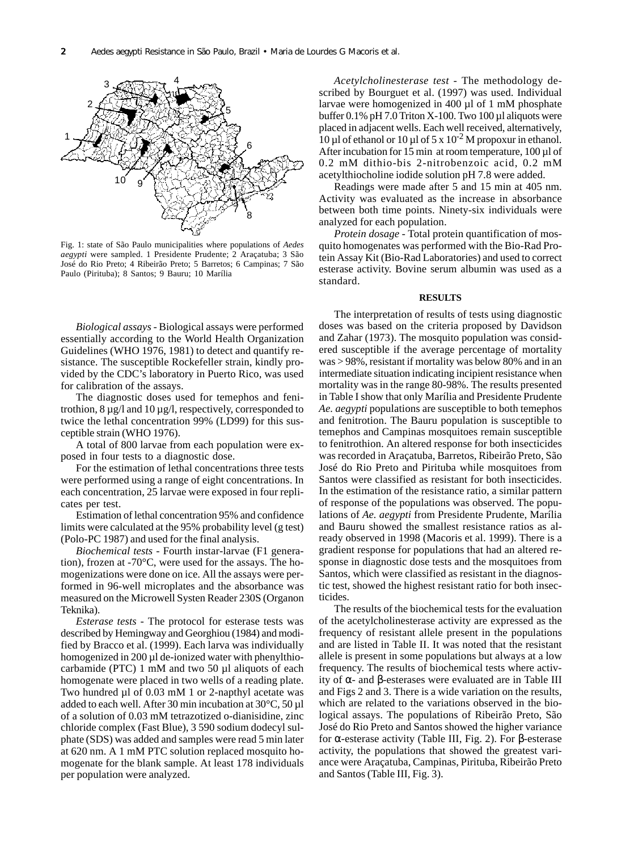

Fig. 1: state of São Paulo municipalities where populations of *Aedes aegypti* were sampled. 1 Presidente Prudente; 2 Araçatuba; 3 São José do Rio Preto; 4 Ribeirão Preto; 5 Barretos; 6 Campinas; 7 São Paulo (Pirituba); 8 Santos; 9 Bauru; 10 Marília

*Biological assays -* Biological assays were performed essentially according to the World Health Organization Guidelines (WHO 1976, 1981) to detect and quantify resistance. The susceptible Rockefeller strain, kindly provided by the CDC's laboratory in Puerto Rico, was used for calibration of the assays.

The diagnostic doses used for temephos and fenitrothion, 8 µg/l and 10 µg/l, respectively, corresponded to twice the lethal concentration 99% (LD99) for this susceptible strain (WHO 1976).

A total of 800 larvae from each population were exposed in four tests to a diagnostic dose.

For the estimation of lethal concentrations three tests were performed using a range of eight concentrations. In each concentration, 25 larvae were exposed in four replicates per test.

Estimation of lethal concentration 95% and confidence limits were calculated at the 95% probability level (g test) (Polo-PC 1987) and used for the final analysis.

*Biochemical tests* - Fourth instar-larvae (F1 generation), frozen at -70°C, were used for the assays. The homogenizations were done on ice. All the assays were performed in 96-well microplates and the absorbance was measured on the Microwell Systen Reader 230S (Organon Teknika).

*Esterase tests* - The protocol for esterase tests was described by Hemingway and Georghiou (1984) and modified by Bracco et al. (1999). Each larva was individually homogenized in 200 µl de-ionized water with phenylthiocarbamide (PTC) 1 mM and two 50 µl aliquots of each homogenate were placed in two wells of a reading plate. Two hundred µl of 0.03 mM 1 or 2-napthyl acetate was added to each well. After 30 min incubation at 30°C, 50 µl of a solution of 0.03 mM tetrazotized o-dianisidine, zinc chloride complex (Fast Blue), 3 590 sodium dodecyl sulphate (SDS) was added and samples were read 5 min later at 620 nm. A 1 mM PTC solution replaced mosquito homogenate for the blank sample. At least 178 individuals per population were analyzed.

*Acetylcholinesterase test* - The methodology described by Bourguet et al. (1997) was used. Individual larvae were homogenized in 400 µl of 1 mM phosphate buffer  $0.1\%$  pH 7.0 Triton X-100. Two 100 µl aliquots were placed in adjacent wells. Each well received, alternatively,  $10 \mu$ l of ethanol or  $10 \mu$ l of 5 x  $10^{-2}$  M propoxur in ethanol. After incubation for 15 min at room temperature, 100 µl of 0.2 mM dithio-bis 2-nitrobenzoic acid, 0.2 mM acetylthiocholine iodide solution pH 7.8 were added.

Readings were made after 5 and 15 min at 405 nm. Activity was evaluated as the increase in absorbance between both time points. Ninety-six individuals were analyzed for each population.

*Protein dosage* - Total protein quantification of mosquito homogenates was performed with the Bio-Rad Protein Assay Kit (Bio-Rad Laboratories) and used to correct esterase activity. Bovine serum albumin was used as a standard.

#### **RESULTS**

The interpretation of results of tests using diagnostic doses was based on the criteria proposed by Davidson and Zahar (1973). The mosquito population was considered susceptible if the average percentage of mortality was > 98%, resistant if mortality was below 80% and in an intermediate situation indicating incipient resistance when mortality was in the range 80-98%. The results presented in Table I show that only Marília and Presidente Prudente *Ae. aegypti* populations are susceptible to both temephos and fenitrotion. The Bauru population is susceptible to temephos and Campinas mosquitoes remain susceptible to fenitrothion. An altered response for both insecticides was recorded in Araçatuba, Barretos, Ribeirão Preto, São José do Rio Preto and Pirituba while mosquitoes from Santos were classified as resistant for both insecticides. In the estimation of the resistance ratio, a similar pattern of response of the populations was observed. The populations of *Ae. aegypti* from Presidente Prudente, Marília and Bauru showed the smallest resistance ratios as already observed in 1998 (Macoris et al. 1999). There is a gradient response for populations that had an altered response in diagnostic dose tests and the mosquitoes from Santos, which were classified as resistant in the diagnostic test, showed the highest resistant ratio for both insecticides.

The results of the biochemical tests for the evaluation of the acetylcholinesterase activity are expressed as the frequency of resistant allele present in the populations and are listed in Table II. It was noted that the resistant allele is present in some populations but always at a low frequency. The results of biochemical tests where activity of α- and β-esterases were evaluated are in Table III and Figs 2 and 3. There is a wide variation on the results, which are related to the variations observed in the biological assays. The populations of Ribeirão Preto, São José do Rio Preto and Santos showed the higher variance for α-esterase activity (Table III, Fig. 2). For β-esterase activity, the populations that showed the greatest variance were Araçatuba, Campinas, Pirituba, Ribeirão Preto and Santos (Table III, Fig. 3).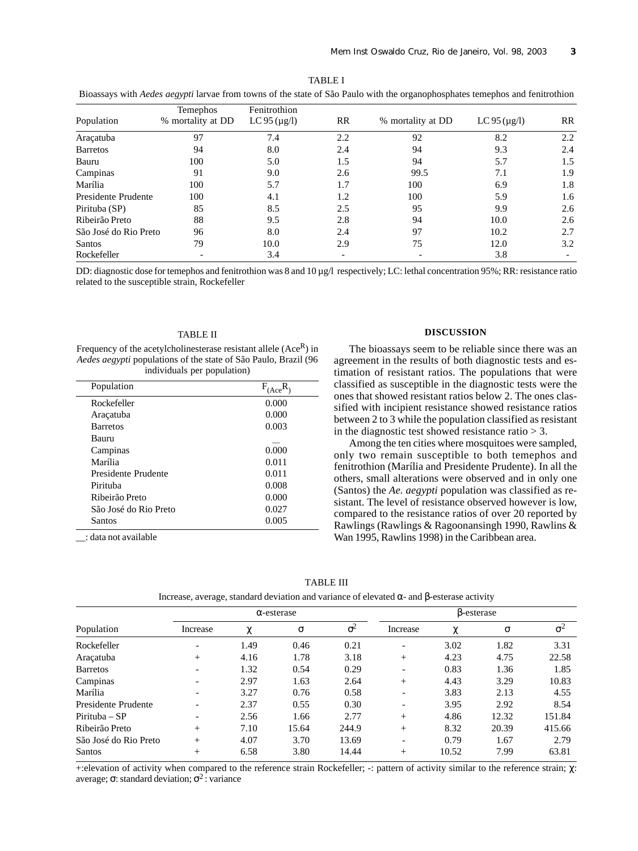| Divassays with Aeues uegypt farvae from towns of the state of Sao Faulo with the organophosphates temephos and femiliounon |                                      |                                    |     |                   |                   |           |  |  |
|----------------------------------------------------------------------------------------------------------------------------|--------------------------------------|------------------------------------|-----|-------------------|-------------------|-----------|--|--|
| Population                                                                                                                 | <b>Temephos</b><br>% mortality at DD | Fenitrothion<br>LC 95 ( $\mu$ g/l) | RR  | % mortality at DD | LC $95 \times 10$ | <b>RR</b> |  |  |
| Aracatuba                                                                                                                  | 97                                   | 7.4                                | 2.2 | 92                | 8.2               | 2.2       |  |  |
| <b>Barretos</b>                                                                                                            | 94                                   | 8.0                                | 2.4 | 94                | 9.3               | 2.4       |  |  |
| Bauru                                                                                                                      | 100                                  | 5.0                                | 1.5 | 94                | 5.7               | 1.5       |  |  |
| Campinas                                                                                                                   | 91                                   | 9.0                                | 2.6 | 99.5              | 7.1               | 1.9       |  |  |
| Marília                                                                                                                    | 100                                  | 5.7                                | 1.7 | 100               | 6.9               | 1.8       |  |  |
| Presidente Prudente                                                                                                        | 100                                  | 4.1                                | 1.2 | 100               | 5.9               | 1.6       |  |  |
| Pirituba (SP)                                                                                                              | 85                                   | 8.5                                | 2.5 | 95                | 9.9               | 2.6       |  |  |
| Ribeirão Preto                                                                                                             | 88                                   | 9.5                                | 2.8 | 94                | 10.0              | 2.6       |  |  |
| São José do Rio Preto                                                                                                      | 96                                   | 8.0                                | 2.4 | 97                | 10.2              | 2.7       |  |  |
| <b>Santos</b>                                                                                                              | 79                                   | 10.0                               | 2.9 | 75                | 12.0              | 3.2       |  |  |
| Rockefeller                                                                                                                |                                      | 3.4                                |     |                   | 3.8               |           |  |  |

TABLE I Bioassays with *Aedes aegypti* larvae from towns of the state of São Paulo with the organophosphates temephos and fenitrothion

DD: diagnostic dose for temephos and fenitrothion was 8 and 10 µg/l respectively; LC: lethal concentration 95%; RR: resistance ratio related to the susceptible strain, Rockefeller

## TABLE II

Frequency of the acetylcholinesterase resistant allele  $(Ace<sup>R</sup>)$  in *Aedes aegypti* populations of the state of São Paulo, Brazil (96 individuals per population)

| Population            | $F_{(Acc)}$ |
|-----------------------|-------------|
| Rockefeller           | 0.000       |
| Araçatuba             | 0.000       |
| <b>Barretos</b>       | 0.003       |
| Bauru                 |             |
| Campinas              | 0.000       |
| Marília               | 0.011       |
| Presidente Prudente   | 0.011       |
| Pirituba              | 0.008       |
| Ribeirão Preto        | 0.000       |
| São José do Rio Preto | 0.027       |
| Santos                | 0.005       |

\_\_: data not available

## **DISCUSSION**

The bioassays seem to be reliable since there was an agreement in the results of both diagnostic tests and estimation of resistant ratios. The populations that were classified as susceptible in the diagnostic tests were the ones that showed resistant ratios below 2. The ones classified with incipient resistance showed resistance ratios between 2 to 3 while the population classified as resistant in the diagnostic test showed resistance ratio  $> 3$ .

Among the ten cities where mosquitoes were sampled, only two remain susceptible to both temephos and fenitrothion (Marília and Presidente Prudente). In all the others, small alterations were observed and in only one (Santos) the *Ae. aegypti* population was classified as resistant. The level of resistance observed however is low, compared to the resistance ratios of over 20 reported by Rawlings (Rawlings & Ragoonansingh 1990, Rawlins & Wan 1995, Rawlins 1998) in the Caribbean area.

| TABLE I |  |
|---------|--|
|---------|--|

Increase, average, standard deviation and variance of elevated α- and β-esterase activity

|                       | $\alpha$ -esterase       |      |       |            | B-esterase               |       |       |            |
|-----------------------|--------------------------|------|-------|------------|--------------------------|-------|-------|------------|
| Population            | Increase                 | χ    | σ     | $\sigma^2$ | Increase                 | χ     | σ     | $\sigma^2$ |
| Rockefeller           | $\overline{\phantom{0}}$ | 1.49 | 0.46  | 0.21       | $\overline{\phantom{a}}$ | 3.02  | 1.82  | 3.31       |
| Araçatuba             | $^{+}$                   | 4.16 | 1.78  | 3.18       | $^{+}$                   | 4.23  | 4.75  | 22.58      |
| <b>Barretos</b>       | $\overline{\phantom{0}}$ | 1.32 | 0.54  | 0.29       | $\overline{\phantom{a}}$ | 0.83  | 1.36  | 1.85       |
| Campinas              | $\overline{\phantom{0}}$ | 2.97 | 1.63  | 2.64       | $^{+}$                   | 4.43  | 3.29  | 10.83      |
| Marília               | $\overline{\phantom{a}}$ | 3.27 | 0.76  | 0.58       | $\overline{\phantom{0}}$ | 3.83  | 2.13  | 4.55       |
| Presidente Prudente   | $\overline{\phantom{0}}$ | 2.37 | 0.55  | 0.30       | $\overline{\phantom{0}}$ | 3.95  | 2.92  | 8.54       |
| $Pirituba - SP$       | $\overline{\phantom{a}}$ | 2.56 | 1.66  | 2.77       | $^{+}$                   | 4.86  | 12.32 | 151.84     |
| Ribeirão Preto        | $+$                      | 7.10 | 15.64 | 244.9      | $^{+}$                   | 8.32  | 20.39 | 415.66     |
| São José do Rio Preto | $+$                      | 4.07 | 3.70  | 13.69      | $\overline{\phantom{0}}$ | 0.79  | 1.67  | 2.79       |
| Santos                | $^{+}$                   | 6.58 | 3.80  | 14.44      | $^{+}$                   | 10.52 | 7.99  | 63.81      |

+:elevation of activity when compared to the reference strain Rockefeller; -: pattern of activity similar to the reference strain; χ: average;  $\sigma$ : standard deviation;  $\sigma^2$ : variance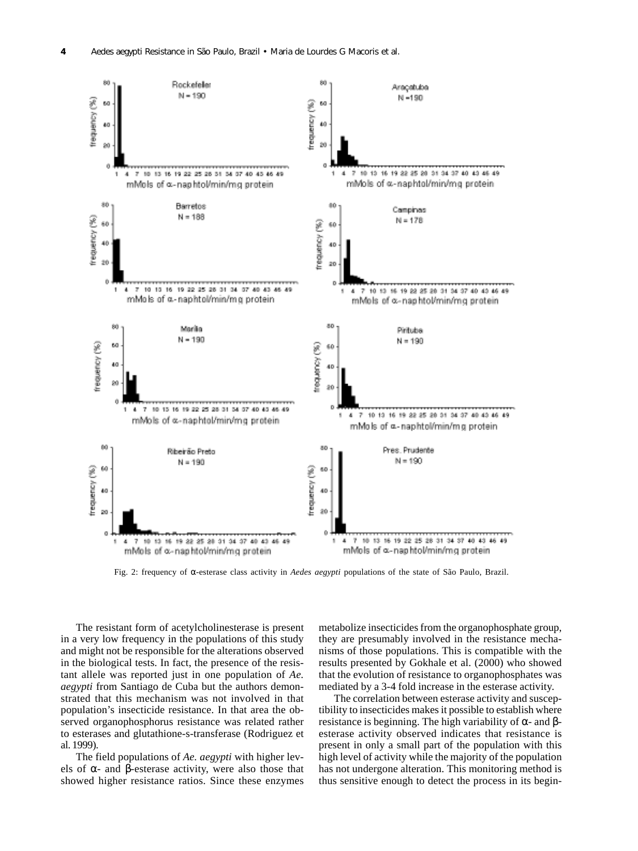

Fig. 2: frequency of α-esterase class activity in *Aedes aegypti* populations of the state of São Paulo, Brazil.

The resistant form of acetylcholinesterase is present in a very low frequency in the populations of this study and might not be responsible for the alterations observed in the biological tests. In fact, the presence of the resistant allele was reported just in one population of *Ae. aegypti* from Santiago de Cuba but the authors demonstrated that this mechanism was not involved in that population's insecticide resistance. In that area the observed organophosphorus resistance was related rather to esterases and glutathione-s-transferase (Rodriguez et al. 1999).

The field populations of *Ae. aegypti* with higher levels of  $\alpha$ - and β-esterase activity, were also those that showed higher resistance ratios. Since these enzymes metabolize insecticides from the organophosphate group, they are presumably involved in the resistance mechanisms of those populations. This is compatible with the results presented by Gokhale et al. (2000) who showed that the evolution of resistance to organophosphates was mediated by a 3-4 fold increase in the esterase activity.

The correlation between esterase activity and susceptibility to insecticides makes it possible to establish where resistance is beginning. The high variability of  $\alpha$ - and  $\beta$ esterase activity observed indicates that resistance is present in only a small part of the population with this high level of activity while the majority of the population has not undergone alteration. This monitoring method is thus sensitive enough to detect the process in its begin-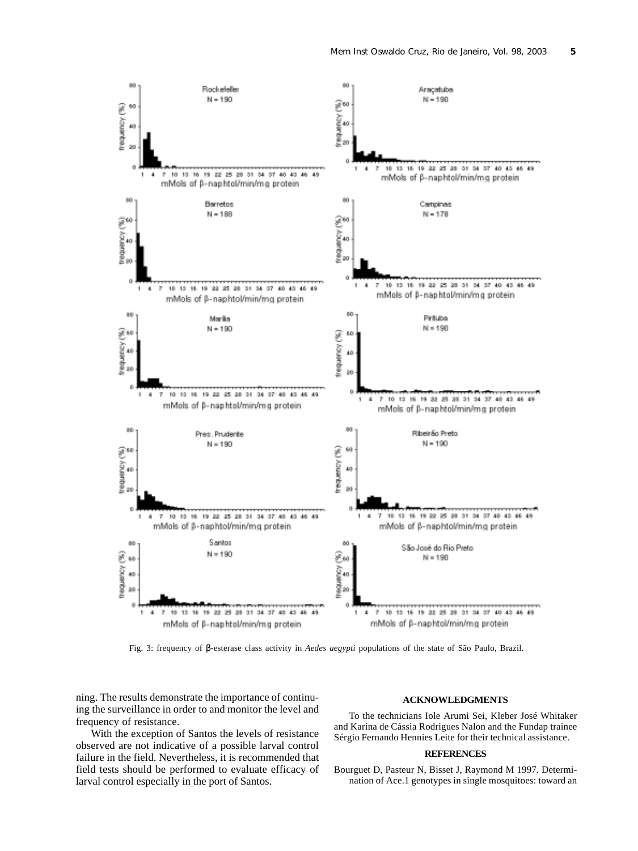

Fig. 3: frequency of β-esterase class activity in *Aedes aegypti* populations of the state of São Paulo, Brazil.

ning. The results demonstrate the importance of continuing the surveillance in order to and monitor the level and frequency of resistance.

With the exception of Santos the levels of resistance observed are not indicative of a possible larval control failure in the field. Nevertheless, it is recommended that field tests should be performed to evaluate efficacy of larval control especially in the port of Santos.

## **ACKNOWLEDGMENTS**

To the technicians Iole Arumi Sei, Kleber José Whitaker and Karina de Cássia Rodrigues Nalon and the Fundap trainee Sérgio Fernando Hennies Leite for their technical assistance.

## **REFERENCES**

Bourguet D, Pasteur N, Bisset J, Raymond M 1997. Determination of Ace.1 genotypes in single mosquitoes: toward an